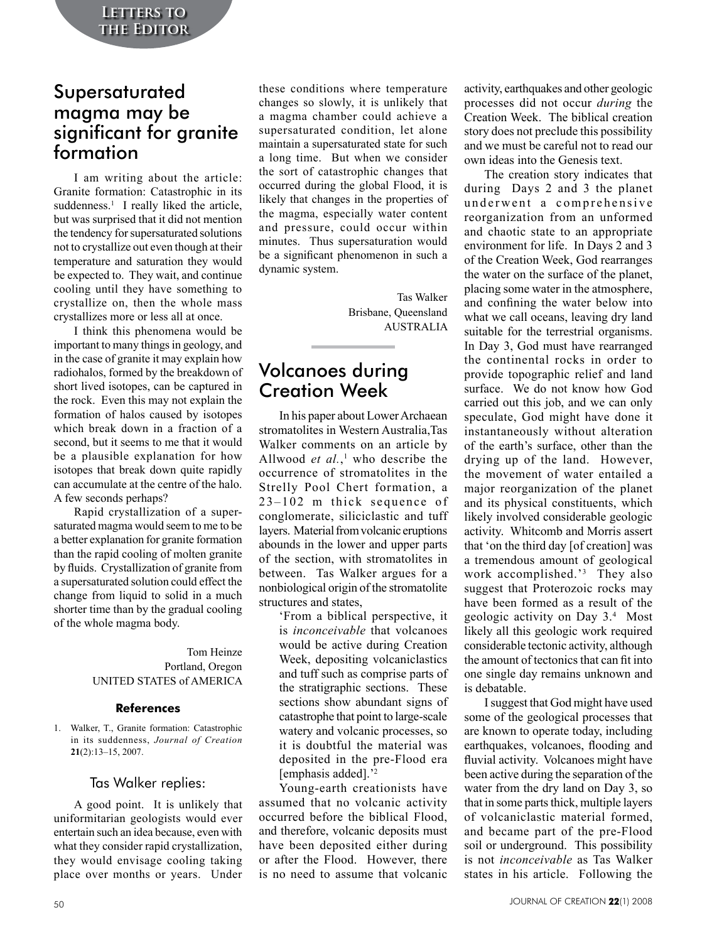## Supersaturated magma may be significant for granite formation

I am writing about the article: Granite formation: Catastrophic in its suddenness.<sup>1</sup> I really liked the article, but was surprised that it did not mention the tendency for supersaturated solutions not to crystallize out even though at their temperature and saturation they would be expected to. They wait, and continue cooling until they have something to crystallize on, then the whole mass crystallizes more or less all at once.

I think this phenomena would be important to many things in geology, and in the case of granite it may explain how radiohalos, formed by the breakdown of short lived isotopes, can be captured in the rock. Even this may not explain the formation of halos caused by isotopes which break down in a fraction of a second, but it seems to me that it would be a plausible explanation for how isotopes that break down quite rapidly can accumulate at the centre of the halo. A few seconds perhaps?

Rapid crystallization of a supersaturated magma would seem to me to be a better explanation for granite formation than the rapid cooling of molten granite by fluids. Crystallization of granite from a supersaturated solution could effect the change from liquid to solid in a much shorter time than by the gradual cooling of the whole magma body.

### Tom Heinze Portland, Oregon UNITED STATES of AMERICA

## **References**

1. Walker, T., Granite formation: Catastrophic in its suddenness, *Journal of Creation* **21**(2):13–15, 2007.

## Tas Walker replies:

A good point. It is unlikely that uniformitarian geologists would ever entertain such an idea because, even with what they consider rapid crystallization, they would envisage cooling taking place over months or years. Under

these conditions where temperature changes so slowly, it is unlikely that a magma chamber could achieve a supersaturated condition, let alone maintain a supersaturated state for such a long time. But when we consider the sort of catastrophic changes that occurred during the global Flood, it is likely that changes in the properties of the magma, especially water content and pressure, could occur within minutes. Thus supersaturation would be a significant phenomenon in such a dynamic system.

> Tas Walker Brisbane, Queensland AUSTRALIA

## Volcanoes during Creation Week

In his paper about Lower Archaean stromatolites in Western Australia,Tas Walker comments on an article by Allwood *et al.*, 1 who describe the occurrence of stromatolites in the Strelly Pool Chert formation, a 23–102 m thick sequence of conglomerate, siliciclastic and tuff layers. Material from volcanic eruptions abounds in the lower and upper parts of the section, with stromatolites in between. Tas Walker argues for a nonbiological origin of the stromatolite structures and states,

'From a biblical perspective, it is *inconceivable* that volcanoes would be active during Creation Week, depositing volcaniclastics and tuff such as comprise parts of the stratigraphic sections. These sections show abundant signs of catastrophe that point to large-scale watery and volcanic processes, so it is doubtful the material was deposited in the pre-Flood era [emphasis added].'2

Young-earth creationists have assumed that no volcanic activity occurred before the biblical Flood, and therefore, volcanic deposits must have been deposited either during or after the Flood. However, there is no need to assume that volcanic

activity, earthquakes and other geologic processes did not occur *during* the Creation Week. The biblical creation story does not preclude this possibility and we must be careful not to read our own ideas into the Genesis text.

The creation story indicates that during Days 2 and 3 the planet underwent a comprehensive reorganization from an unformed and chaotic state to an appropriate environment for life. In Days 2 and 3 of the Creation Week, God rearranges the water on the surface of the planet, placing some water in the atmosphere, and confining the water below into what we call oceans, leaving dry land suitable for the terrestrial organisms. In Day 3, God must have rearranged the continental rocks in order to provide topographic relief and land surface. We do not know how God carried out this job, and we can only speculate, God might have done it instantaneously without alteration of the earth's surface, other than the drying up of the land. However, the movement of water entailed a major reorganization of the planet and its physical constituents, which likely involved considerable geologic activity. Whitcomb and Morris assert that 'on the third day [of creation] was a tremendous amount of geological work accomplished.'3 They also suggest that Proterozoic rocks may have been formed as a result of the geologic activity on Day 3.4 Most likely all this geologic work required considerable tectonic activity, although the amount of tectonics that can fit into one single day remains unknown and is debatable.

I suggest that God might have used some of the geological processes that are known to operate today, including earthquakes, volcanoes, flooding and fluvial activity. Volcanoes might have been active during the separation of the water from the dry land on Day 3, so that in some parts thick, multiple layers of volcaniclastic material formed, and became part of the pre-Flood soil or underground. This possibility is not *inconceivable* as Tas Walker states in his article. Following the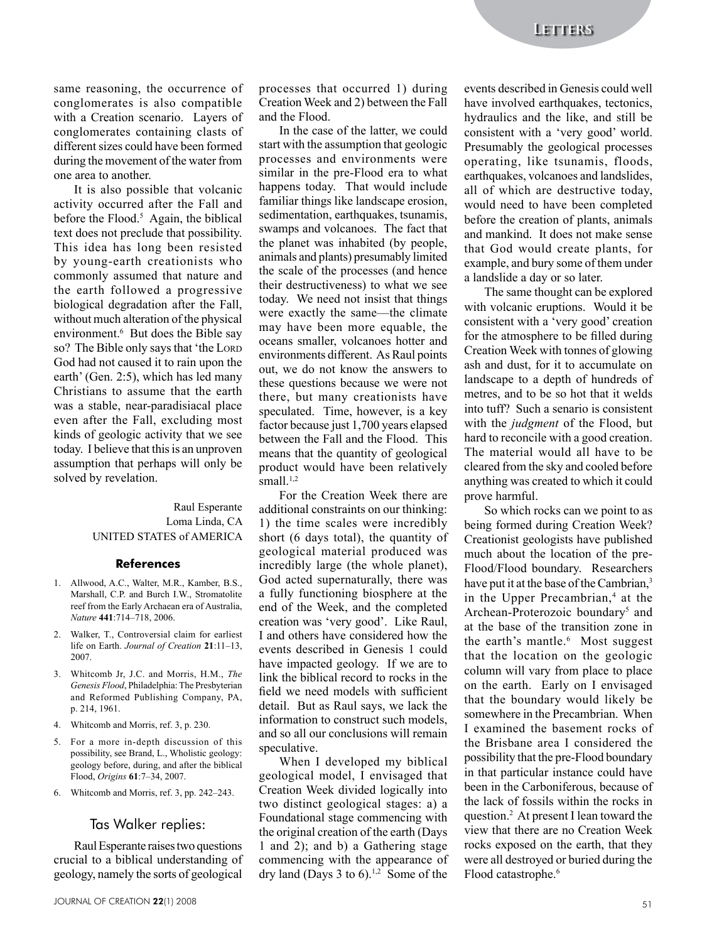same reasoning, the occurrence of conglomerates is also compatible with a Creation scenario. Layers of conglomerates containing clasts of different sizes could have been formed during the movement of the water from one area to another.

It is also possible that volcanic activity occurred after the Fall and before the Flood.<sup>5</sup> Again, the biblical text does not preclude that possibility. This idea has long been resisted by young-earth creationists who commonly assumed that nature and the earth followed a progressive biological degradation after the Fall, without much alteration of the physical environment.<sup>6</sup> But does the Bible say so? The Bible only says that 'the LORD God had not caused it to rain upon the earth' (Gen. 2:5), which has led many Christians to assume that the earth was a stable, near-paradisiacal place even after the Fall, excluding most kinds of geologic activity that we see today. I believe that this is an unproven assumption that perhaps will only be solved by revelation.

### Raul Esperante Loma Linda, CA UNITED STATES of AMERICA

#### **References**

- 1. Allwood, A.C., Walter, M.R., Kamber, B.S., Marshall, C.P. and Burch I.W., Stromatolite reef from the Early Archaean era of Australia, *Nature* **441**:714–718, 2006.
- 2. Walker, T., Controversial claim for earliest life on Earth. *Journal of Creation* **21**:11–13, 2007.
- 3. Whitcomb Jr, J.C. and Morris, H.M., *The Genesis Flood*, Philadelphia: The Presbyterian and Reformed Publishing Company, PA, p. 214, 1961.
- 4. Whitcomb and Morris, ref. 3, p. 230.
- 5. For a more in-depth discussion of this possibility, see Brand, L., Wholistic geology: geology before, during, and after the biblical Flood, *Origins* **61**:7–34, 2007.
- 6. Whitcomb and Morris, ref. 3, pp. 242–243.

## Tas Walker replies:

Raul Esperante raises two questions crucial to a biblical understanding of geology, namely the sorts of geological

processes that occurred 1) during Creation Week and 2) between the Fall and the Flood.

In the case of the latter, we could start with the assumption that geologic processes and environments were similar in the pre-Flood era to what happens today. That would include familiar things like landscape erosion, sedimentation, earthquakes, tsunamis, swamps and volcanoes. The fact that the planet was inhabited (by people, animals and plants) presumably limited the scale of the processes (and hence their destructiveness) to what we see today. We need not insist that things were exactly the same—the climate may have been more equable, the oceans smaller, volcanoes hotter and environments different. As Raul points out, we do not know the answers to these questions because we were not there, but many creationists have speculated. Time, however, is a key factor because just 1,700 years elapsed between the Fall and the Flood. This means that the quantity of geological product would have been relatively small. $1,2$ 

For the Creation Week there are additional constraints on our thinking: 1) the time scales were incredibly short (6 days total), the quantity of geological material produced was incredibly large (the whole planet), God acted supernaturally, there was a fully functioning biosphere at the end of the Week, and the completed creation was 'very good'. Like Raul, I and others have considered how the events described in Genesis 1 could have impacted geology. If we are to link the biblical record to rocks in the field we need models with sufficient detail. But as Raul says, we lack the information to construct such models, and so all our conclusions will remain speculative.

When I developed my biblical geological model, I envisaged that Creation Week divided logically into two distinct geological stages: a) a Foundational stage commencing with the original creation of the earth (Days 1 and 2); and b) a Gathering stage commencing with the appearance of dry land (Days 3 to 6).<sup>1,2</sup> Some of the

events described in Genesis could well have involved earthquakes, tectonics, hydraulics and the like, and still be consistent with a 'very good' world. Presumably the geological processes operating, like tsunamis, floods, earthquakes, volcanoes and landslides. all of which are destructive today, would need to have been completed before the creation of plants, animals and mankind. It does not make sense that God would create plants, for example, and bury some of them under a landslide a day or so later.

The same thought can be explored with volcanic eruptions. Would it be consistent with a 'very good' creation for the atmosphere to be filled during Creation Week with tonnes of glowing ash and dust, for it to accumulate on landscape to a depth of hundreds of metres, and to be so hot that it welds into tuff? Such a senario is consistent with the *judgment* of the Flood, but hard to reconcile with a good creation. The material would all have to be cleared from the sky and cooled before anything was created to which it could prove harmful.

So which rocks can we point to as being formed during Creation Week? Creationist geologists have published much about the location of the pre-Flood/Flood boundary. Researchers have put it at the base of the Cambrian,<sup>3</sup> in the Upper Precambrian,<sup>4</sup> at the Archean-Proterozoic boundary<sup>5</sup> and at the base of the transition zone in the earth's mantle.<sup>6</sup> Most suggest that the location on the geologic column will vary from place to place on the earth. Early on I envisaged that the boundary would likely be somewhere in the Precambrian. When I examined the basement rocks of the Brisbane area I considered the possibility that the pre-Flood boundary in that particular instance could have been in the Carboniferous, because of the lack of fossils within the rocks in question.2 At present I lean toward the view that there are no Creation Week rocks exposed on the earth, that they were all destroyed or buried during the Flood catastrophe.<sup>6</sup>